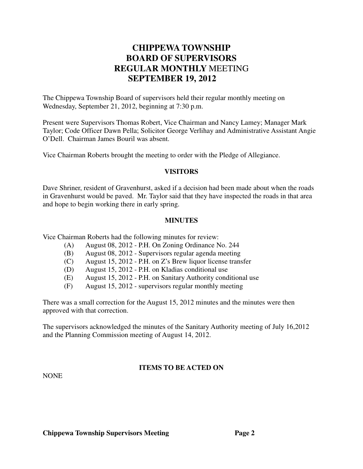# **CHIPPEWA TOWNSHIP BOARD OF SUPERVISORS REGULAR MONTHLY** MEETING **SEPTEMBER 19, 2012**

The Chippewa Township Board of supervisors held their regular monthly meeting on Wednesday, September 21, 2012, beginning at 7:30 p.m.

Present were Supervisors Thomas Robert, Vice Chairman and Nancy Lamey; Manager Mark Taylor; Code Officer Dawn Pella; Solicitor George Verlihay and Administrative Assistant Angie O'Dell. Chairman James Bouril was absent.

Vice Chairman Roberts brought the meeting to order with the Pledge of Allegiance.

#### **VISITORS**

Dave Shriner, resident of Gravenhurst, asked if a decision had been made about when the roads in Gravenhurst would be paved. Mr. Taylor said that they have inspected the roads in that area and hope to begin working there in early spring.

#### **MINUTES**

Vice Chairman Roberts had the following minutes for review:

- (A) August 08, 2012 P.H. On Zoning Ordinance No. 244
- (B) August 08, 2012 Supervisors regular agenda meeting
- (C) August 15, 2012 P.H. on Z's Brew liquor license transfer
- (D) August 15, 2012 P.H. on Kladias conditional use
- (E) August 15, 2012 P.H. on Sanitary Authority conditional use
- (F) August 15, 2012 supervisors regular monthly meeting

There was a small correction for the August 15, 2012 minutes and the minutes were then approved with that correction.

The supervisors acknowledged the minutes of the Sanitary Authority meeting of July 16,2012 and the Planning Commission meeting of August 14, 2012.

### **ITEMS TO BE ACTED ON**

NONE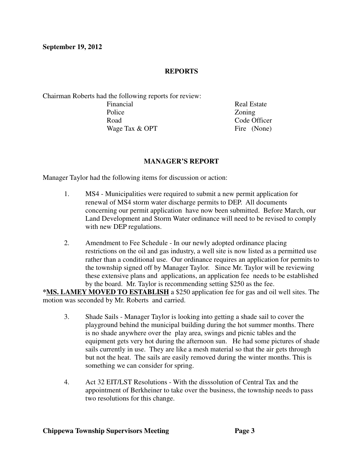#### **REPORTS**

Chairman Roberts had the following reports for review: Financial Real Estate Police **Zoning** Road Code Officer Wage Tax  $&$  OPT Fire (None)

#### **MANAGER'S REPORT**

Manager Taylor had the following items for discussion or action:

- 1. MS4 Municipalities were required to submit a new permit application for renewal of MS4 storm water discharge permits to DEP. All documents concerning our permit application have now been submitted. Before March, our Land Development and Storm Water ordinance will need to be revised to comply with new DEP regulations.
- 2. Amendment to Fee Schedule In our newly adopted ordinance placing restrictions on the oil and gas industry, a well site is now listed as a permitted use rather than a conditional use. Our ordinance requires an application for permits to the township signed off by Manager Taylor. Since Mr. Taylor will be reviewing these extensive plans and applications, an application fee needs to be established by the board. Mr. Taylor is recommending setting \$250 as the fee.

**\*MS. LAMEY MOVED TO ESTABLISH** a \$250 application fee for gas and oil well sites. The motion was seconded by Mr. Roberts and carried.

- 3. Shade Sails Manager Taylor is looking into getting a shade sail to cover the playground behind the municipal building during the hot summer months. There is no shade anywhere over the play area, swings and picnic tables and the equipment gets very hot during the afternoon sun. He had some pictures of shade sails currently in use. They are like a mesh material so that the air gets through but not the heat. The sails are easily removed during the winter months. This is something we can consider for spring.
- 4. Act 32 EIT/LST Resolutions With the disssolution of Central Tax and the appointment of Berkheiner to take over the business, the township needs to pass two resolutions for this change.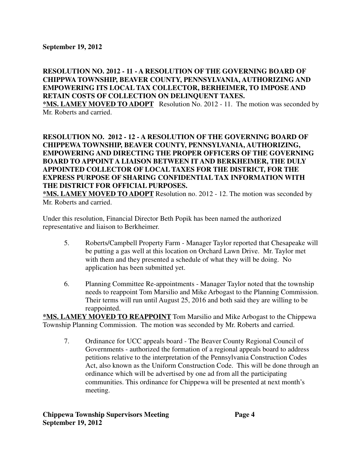### **RESOLUTION NO. 2012 - 11 - A RESOLUTION OF THE GOVERNING BOARD OF CHIPPWA TOWNSHIP, BEAVER COUNTY, PENNSYLVANIA, AUTHORIZING AND EMPOWERING ITS LOCAL TAX COLLECTOR, BERHEIMER, TO IMPOSE AND RETAIN COSTS OF COLLECTION ON DELINQUENT TAXES.**

**\*MS. LAMEY MOVED TO ADOPT** Resolution No. 2012 - 11. The motion was seconded by Mr. Roberts and carried.

### **RESOLUTION NO. 2012 - 12 - A RESOLUTION OF THE GOVERNING BOARD OF CHIPPEWA TOWNSHIP, BEAVER COUNTY, PENNSYLVANIA, AUTHORIZING, EMPOWERING AND DIRECTING THE PROPER OFFICERS OF THE GOVERNING BOARD TO APPOINT A LIAISON BETWEEN IT AND BERKHEIMER, THE DULY APPOINTED COLLECTOR OF LOCAL TAXES FOR THE DISTRICT, FOR THE EXPRESS PURPOSE OF SHARING CONFIDENTIAL TAX INFORMATION WITH THE DISTRICT FOR OFFICIAL PURPOSES.**

**\*MS. LAMEY MOVED TO ADOPT** Resolution no. 2012 - 12. The motion was seconded by Mr. Roberts and carried.

Under this resolution, Financial Director Beth Popik has been named the authorized representative and liaison to Berkheimer.

- 5. Roberts/Campbell Property Farm Manager Taylor reported that Chesapeake will be putting a gas well at this location on Orchard Lawn Drive. Mr. Taylor met with them and they presented a schedule of what they will be doing. No application has been submitted yet.
- 6. Planning Committee Re-appointments Manager Taylor noted that the township needs to reappoint Tom Marsilio and Mike Arbogast to the Planning Commission. Their terms will run until August 25, 2016 and both said they are willing to be reappointed.

**\*MS. LAMEY MOVED TO REAPPOINT** Tom Marsilio and Mike Arbogast to the Chippewa Township Planning Commission. The motion was seconded by Mr. Roberts and carried.

7. Ordinance for UCC appeals board - The Beaver County Regional Council of Governments - authorized the formation of a regional appeals board to address petitions relative to the interpretation of the Pennsylvania Construction Codes Act, also known as the Uniform Construction Code. This will be done through an ordinance which will be advertised by one ad from all the participating communities. This ordinance for Chippewa will be presented at next month's meeting.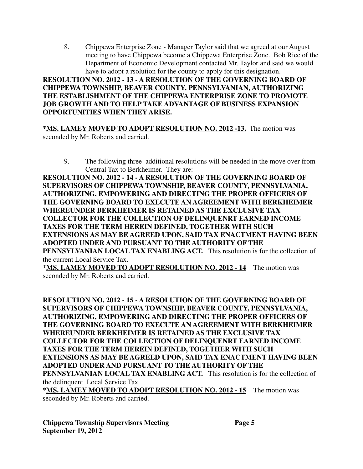8. Chippewa Enterprise Zone - Manager Taylor said that we agreed at our August meeting to have Chippewa become a Chippewa Enterprise Zone. Bob Rice of the Department of Economic Development contacted Mr. Taylor and said we would have to adopt a rsolution for the county to apply for this designation.

**RESOLUTION NO. 2012 - 13 - A RESOLUTION OF THE GOVERNING BOARD OF CHIPPEWA TOWNSHIP, BEAVER COUNTY, PENNSYLVANIAN, AUTHORIZING THE ESTABLISHMENT OF THE CHIPPEWA ENTERPRISE ZONE TO PROMOTE JOB GROWTH AND TO HELP TAKE ADVANTAGE OF BUSINESS EXPANSION OPPORTUNITIES WHEN THEY ARISE.**

**\*MS. LAMEY MOVED TO ADOPT RESOLUTION NO. 2012 -13.** The motion was seconded by Mr. Roberts and carried.

9. The following three additional resolutions will be needed in the move over from Central Tax to Berkheimer. They are:

**RESOLUTION NO. 2012 - 14 - A RESOLUTION OF THE GOVERNING BOARD OF SUPERVISORS OF CHIPPEWA TOWNSHIP, BEAVER COUNTY, PENNSYLVANIA, AUTHORIZING, EMPOWERING AND DIRECTING THE PROPER OFFICERS OF THE GOVERNING BOARD TO EXECUTE AN AGREEMENT WITH BERKHEIMER WHEREUNDER BERKHEIMER IS RETAINED AS THE EXCLUSIVE TAX COLLECTOR FOR THE COLLECTION OF DELINQUENRT EARNED INCOME TAXES FOR THE TERM HEREIN DEFINED, TOGETHER WITH SUCH EXTENSIONS AS MAY BE AGREED UPON, SAID TAX ENACTMENT HAVING BEEN ADOPTED UNDER AND PURSUANT TO THE AUTHORITY OF THE PENNSYLVANIAN LOCAL TAX ENABLING ACT.** This resolution is for the collection of the current Local Service Tax.

\***MS. LAMEY MOVED TO ADOPT RESOLUTION NO. 2012 - 14** The motion was seconded by Mr. Roberts and carried.

**RESOLUTION NO. 2012 - 15 - A RESOLUTION OF THE GOVERNING BOARD OF SUPERVISORS OF CHIPPEWA TOWNSHIP, BEAVER COUNTY, PENNSYLVANIA, AUTHORIZING, EMPOWERING AND DIRECTING THE PROPER OFFICERS OF THE GOVERNING BOARD TO EXECUTE AN AGREEMENT WITH BERKHEIMER WHEREUNDER BERKHEIMER IS RETAINED AS THE EXCLUSIVE TAX COLLECTOR FOR THE COLLECTION OF DELINQUENRT EARNED INCOME TAXES FOR THE TERM HEREIN DEFINED, TOGETHER WITH SUCH EXTENSIONS AS MAY BE AGREED UPON, SAID TAX ENACTMENT HAVING BEEN ADOPTED UNDER AND PURSUANT TO THE AUTHORITY OF THE PENNSYLVANIAN LOCAL TAX ENABLING ACT.** This resolution is for the collection of the delinquent Local Service Tax.

\***MS. LAMEY MOVED TO ADOPT RESOLUTION NO. 2012 - 15** The motion was seconded by Mr. Roberts and carried.

**Chippewa Township Supervisors Meeting Page 5 September 19, 2012**